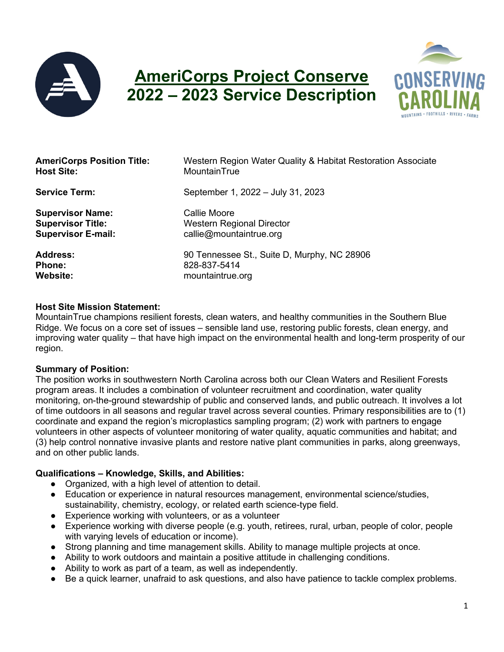

# **AmeriCorps Project Conserve 2022 – 2023 Service Description**



| <b>AmeriCorps Position Title:</b> | Western Region Water Quality & Habitat Restoration Associate |
|-----------------------------------|--------------------------------------------------------------|
| <b>Host Site:</b>                 | MountainTrue                                                 |
| <b>Service Term:</b>              | September 1, 2022 - July 31, 2023                            |
| <b>Supervisor Name:</b>           | Callie Moore                                                 |
| <b>Supervisor Title:</b>          | Western Regional Director                                    |
| <b>Supervisor E-mail:</b>         | callie@mountaintrue.org                                      |
| <b>Address:</b>                   | 90 Tennessee St., Suite D, Murphy, NC 28906                  |
| <b>Phone:</b>                     | 828-837-5414                                                 |
| <b>Website:</b>                   | mountaintrue.org                                             |

#### **Host Site Mission Statement:**

MountainTrue champions resilient forests, clean waters, and healthy communities in the Southern Blue Ridge. We focus on a core set of issues – sensible land use, restoring public forests, clean energy, and improving water quality – that have high impact on the environmental health and long-term prosperity of our region.

#### **Summary of Position:**

The position works in southwestern North Carolina across both our Clean Waters and Resilient Forests program areas. It includes a combination of volunteer recruitment and coordination, water quality monitoring, on-the-ground stewardship of public and conserved lands, and public outreach. It involves a lot of time outdoors in all seasons and regular travel across several counties. Primary responsibilities are to (1) coordinate and expand the region's microplastics sampling program; (2) work with partners to engage volunteers in other aspects of volunteer monitoring of water quality, aquatic communities and habitat; and (3) help control nonnative invasive plants and restore native plant communities in parks, along greenways, and on other public lands.

#### **Qualifications – Knowledge, Skills, and Abilities:**

- Organized, with a high level of attention to detail.
- Education or experience in natural resources management, environmental science/studies, sustainability, chemistry, ecology, or related earth science-type field.
- Experience working with volunteers, or as a volunteer
- Experience working with diverse people (e.g. youth, retirees, rural, urban, people of color, people with varying levels of education or income).
- Strong planning and time management skills. Ability to manage multiple projects at once.
- Ability to work outdoors and maintain a positive attitude in challenging conditions.
- Ability to work as part of a team, as well as independently.
- Be a quick learner, unafraid to ask questions, and also have patience to tackle complex problems.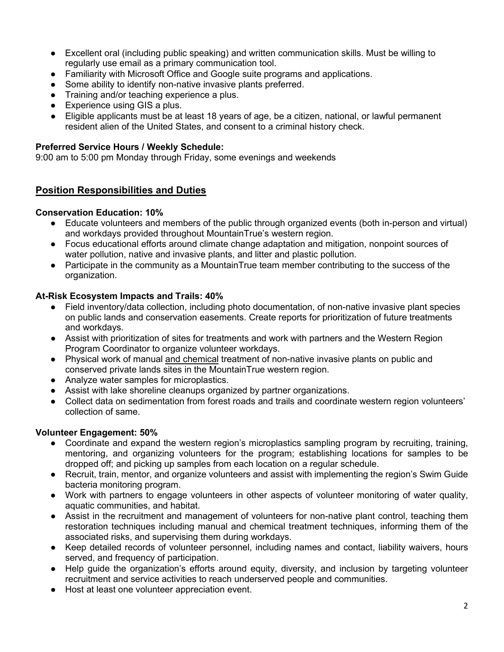- Excellent oral (including public speaking) and written communication skills. Must be willing to regularly use email as a primary communication tool.
- Familiarity with Microsoft Office and Google suite programs and applications.
- Some ability to identify non-native invasive plants preferred.
- Training and/or teaching experience a plus.
- Experience using GIS a plus.
- Eligible applicants must be at least 18 years of age, be a citizen, national, or lawful permanent resident alien of the United States, and consent to a criminal history check.

#### **Preferred Service Hours / Weekly Schedule:**

9:00 am to 5:00 pm Monday through Friday, some evenings and weekends

## **Position Responsibilities and Duties**

#### **Conservation Education: 10%**

- Educate volunteers and members of the public through organized events (both in-person and virtual) and workdays provided throughout MountainTrue's western region.
- Focus educational efforts around climate change adaptation and mitigation, nonpoint sources of water pollution, native and invasive plants, and litter and plastic pollution.
- Participate in the community as a MountainTrue team member contributing to the success of the organization.

#### **At-Risk Ecosystem Impacts and Trails: 40%**

- Field inventory/data collection, including photo documentation, of non-native invasive plant species on public lands and conservation easements. Create reports for prioritization of future treatments and workdays.
- Assist with prioritization of sites for treatments and work with partners and the Western Region Program Coordinator to organize volunteer workdays.
- Physical work of manual and chemical treatment of non-native invasive plants on public and conserved private lands sites in the MountainTrue western region.
- Analyze water samples for microplastics.
- Assist with lake shoreline cleanups organized by partner organizations.
- Collect data on sedimentation from forest roads and trails and coordinate western region volunteers' collection of same.

#### **Volunteer Engagement: 50%**

- Coordinate and expand the western region's microplastics sampling program by recruiting, training, mentoring, and organizing volunteers for the program; establishing locations for samples to be dropped off; and picking up samples from each location on a regular schedule.
- Recruit, train, mentor, and organize volunteers and assist with implementing the region's Swim Guide bacteria monitoring program.
- Work with partners to engage volunteers in other aspects of volunteer monitoring of water quality, aquatic communities, and habitat.
- Assist in the recruitment and management of volunteers for non-native plant control, teaching them restoration techniques including manual and chemical treatment techniques, informing them of the associated risks, and supervising them during workdays.
- Keep detailed records of volunteer personnel, including names and contact, liability waivers, hours served, and frequency of participation.
- Help guide the organization's efforts around equity, diversity, and inclusion by targeting volunteer recruitment and service activities to reach underserved people and communities.
- Host at least one volunteer appreciation event.